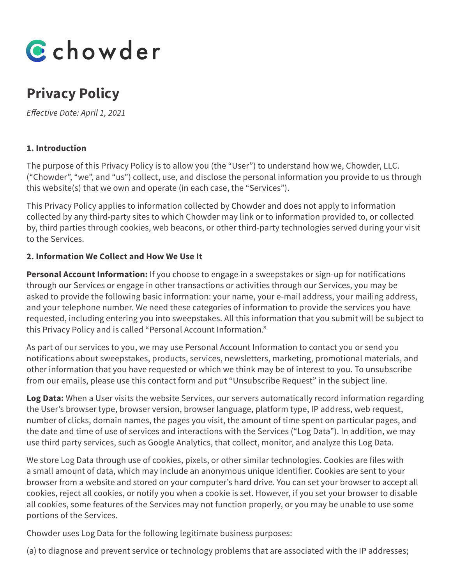

# **Privacy Policy**

*Effective Date: April 1, 2021* 

## **1. Introduction**

The purpose of this Privacy Policy is to allow you (the "User") to understand how we, Chowder, LLC. ("Chowder", "we", and "us") collect, use, and disclose the personal information you provide to us through this website(s) that we own and operate (in each case, the "Services").

This Privacy Policy applies to information collected by Chowder and does not apply to information collected by any third-party sites to which Chowder may link or to information provided to, or collected by, third parties through cookies, web beacons, or other third-party technologies served during your visit to the Services.

## **2. Information We Collect and How We Use It**

**Personal Account Information:** If you choose to engage in a sweepstakes or sign-up for notifications through our Services or engage in other transactions or activities through our Services, you may be asked to provide the following basic information: your name, your e-mail address, your mailing address, and your telephone number. We need these categories of information to provide the services you have requested, including entering you into sweepstakes. All this information that you submit will be subject to this Privacy Policy and is called "Personal Account Information."

As part of our services to you, we may use Personal Account Information to contact you or send you notifications about sweepstakes, products, services, newsletters, marketing, promotional materials, and other information that you have requested or which we think may be of interest to you. To unsubscribe from our emails, please use this contact form and put "Unsubscribe Request" in the subject line.

**Log Data:** When a User visits the website Services, our servers automatically record information regarding the User's browser type, browser version, browser language, platform type, IP address, web request, number of clicks, domain names, the pages you visit, the amount of time spent on particular pages, and the date and time of use of services and interactions with the Services ("Log Data"). In addition, we may use third party services, such as Google Analytics, that collect, monitor, and analyze this Log Data.

We store Log Data through use of cookies, pixels, or other similar technologies. Cookies are files with a small amount of data, which may include an anonymous unique identifier. Cookies are sent to your browser from a website and stored on your computer's hard drive. You can set your browser to accept all cookies, reject all cookies, or notify you when a cookie is set. However, if you set your browser to disable all cookies, some features of the Services may not function properly, or you may be unable to use some portions of the Services.

Chowder uses Log Data for the following legitimate business purposes:

(a) to diagnose and prevent service or technology problems that are associated with the IP addresses;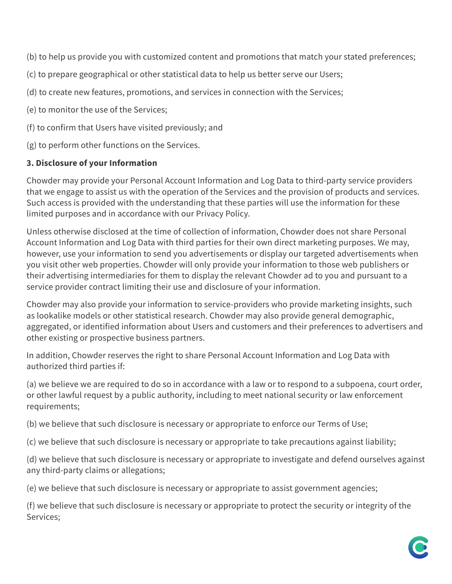(b) to help us provide you with customized content and promotions that match your stated preferences;

- (c) to prepare geographical or other statistical data to help us better serve our Users;
- (d) to create new features, promotions, and services in connection with the Services;
- (e) to monitor the use of the Services;
- (f) to confirm that Users have visited previously; and
- (g) to perform other functions on the Services.

## **3. Disclosure of your Information**

Chowder may provide your Personal Account Information and Log Data to third-party service providers that we engage to assist us with the operation of the Services and the provision of products and services. Such access is provided with the understanding that these parties will use the information for these limited purposes and in accordance with our Privacy Policy.

Unless otherwise disclosed at the time of collection of information, Chowder does not share Personal Account Information and Log Data with third parties for their own direct marketing purposes. We may, however, use your information to send you advertisements or display our targeted advertisements when you visit other web properties. Chowder will only provide your information to those web publishers or their advertising intermediaries for them to display the relevant Chowder ad to you and pursuant to a service provider contract limiting their use and disclosure of your information.

Chowder may also provide your information to service-providers who provide marketing insights, such as lookalike models or other statistical research. Chowder may also provide general demographic, aggregated, or identified information about Users and customers and their preferences to advertisers and other existing or prospective business partners.

In addition, Chowder reserves the right to share Personal Account Information and Log Data with authorized third parties if:

(a) we believe we are required to do so in accordance with a law or to respond to a subpoena, court order, or other lawful request by a public authority, including to meet national security or law enforcement requirements;

(b) we believe that such disclosure is necessary or appropriate to enforce our Terms of Use;

(c) we believe that such disclosure is necessary or appropriate to take precautions against liability;

(d) we believe that such disclosure is necessary or appropriate to investigate and defend ourselves against any third-party claims or allegations;

(e) we believe that such disclosure is necessary or appropriate to assist government agencies;

(f) we believe that such disclosure is necessary or appropriate to protect the security or integrity of the Services;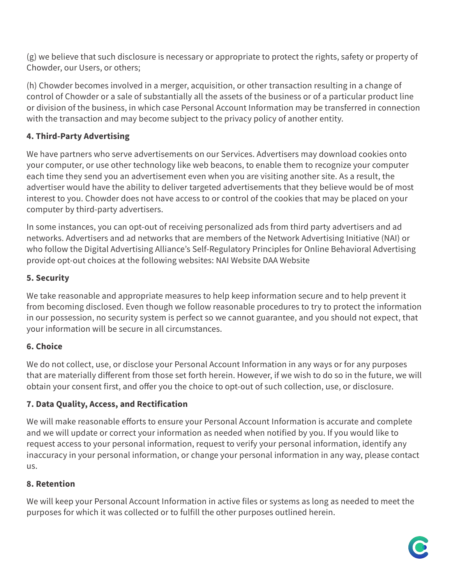(g) we believe that such disclosure is necessary or appropriate to protect the rights, safety or property of Chowder, our Users, or others;

(h) Chowder becomes involved in a merger, acquisition, or other transaction resulting in a change of control of Chowder or a sale of substantially all the assets of the business or of a particular product line or division of the business, in which case Personal Account Information may be transferred in connection with the transaction and may become subject to the privacy policy of another entity.

# **4. Third-Party Advertising**

We have partners who serve advertisements on our Services. Advertisers may download cookies onto your computer, or use other technology like web beacons, to enable them to recognize your computer each time they send you an advertisement even when you are visiting another site. As a result, the advertiser would have the ability to deliver targeted advertisements that they believe would be of most interest to you. Chowder does not have access to or control of the cookies that may be placed on your computer by third-party advertisers.

In some instances, you can opt-out of receiving personalized ads from third party advertisers and ad networks. Advertisers and ad networks that are members of the Network Advertising Initiative (NAI) or who follow the Digital Advertising Alliance's Self-Regulatory Principles for Online Behavioral Advertising provide opt-out choices at the following websites: NAI Website DAA Website

## **5. Security**

We take reasonable and appropriate measures to help keep information secure and to help prevent it from becoming disclosed. Even though we follow reasonable procedures to try to protect the information in our possession, no security system is perfect so we cannot guarantee, and you should not expect, that your information will be secure in all circumstances.

# **6. Choice**

We do not collect, use, or disclose your Personal Account Information in any ways or for any purposes that are materially different from those set forth herein. However, if we wish to do so in the future, we will obtain your consent first, and offer you the choice to opt-out of such collection, use, or disclosure.

# **7. Data Quality, Access, and Rectification**

We will make reasonable efforts to ensure your Personal Account Information is accurate and complete and we will update or correct your information as needed when notified by you. If you would like to request access to your personal information, request to verify your personal information, identify any inaccuracy in your personal information, or change your personal information in any way, please contact us.

## **8. Retention**

We will keep your Personal Account Information in active files or systems as long as needed to meet the purposes for which it was collected or to fulfill the other purposes outlined herein.